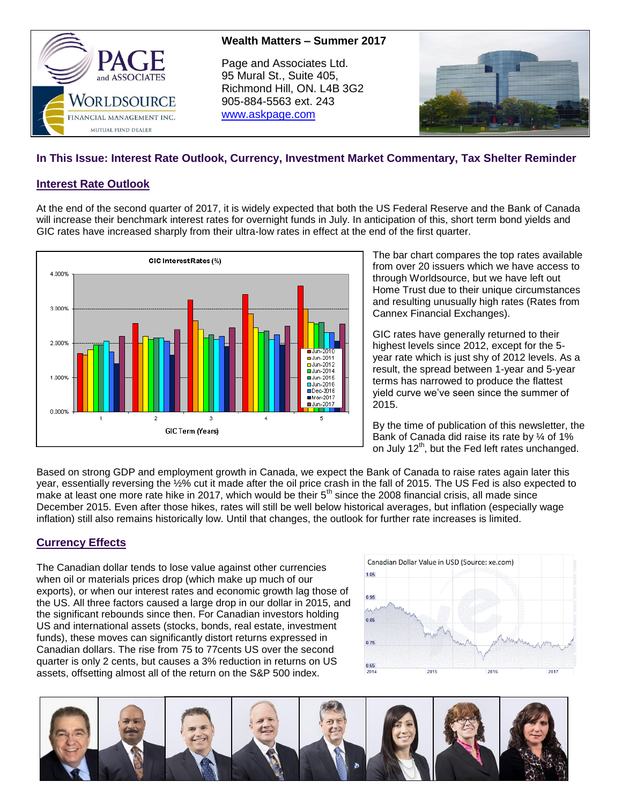



# **In This Issue: Interest Rate Outlook, Currency, Investment Market Commentary, Tax Shelter Reminder**

### **Interest Rate Outlook**

At the end of the second quarter of 2017, it is widely expected that both the US Federal Reserve and the Bank of Canada will increase their benchmark interest rates for overnight funds in July. In anticipation of this, short term bond yields and GIC rates have increased sharply from their ultra-low rates in effect at the end of the first quarter.



The bar chart compares the top rates available from over 20 issuers which we have access to through Worldsource, but we have left out Home Trust due to their unique circumstances and resulting unusually high rates (Rates from Cannex Financial Exchanges).

GIC rates have generally returned to their highest levels since 2012, except for the 5 year rate which is just shy of 2012 levels. As a result, the spread between 1-year and 5-year terms has narrowed to produce the flattest yield curve we've seen since the summer of 2015.

By the time of publication of this newsletter, the Bank of Canada did raise its rate by ¼ of 1% on July  $12<sup>th</sup>$ , but the Fed left rates unchanged.

Based on strong GDP and employment growth in Canada, we expect the Bank of Canada to raise rates again later this year, essentially reversing the ½% cut it made after the oil price crash in the fall of 2015. The US Fed is also expected to make at least one more rate hike in 2017, which would be their  $5<sup>th</sup>$  since the 2008 financial crisis, all made since December 2015. Even after those hikes, rates will still be well below historical averages, but inflation (especially wage inflation) still also remains historically low. Until that changes, the outlook for further rate increases is limited.

## **Currency Effects**

The Canadian dollar tends to lose value against other currencies when oil or materials prices drop (which make up much of our exports), or when our interest rates and economic growth lag those of the US. All three factors caused a large drop in our dollar in 2015, and the significant rebounds since then. For Canadian investors holding US and international assets (stocks, bonds, real estate, investment funds), these moves can significantly distort returns expressed in Canadian dollars. The rise from 75 to 77cents US over the second quarter is only 2 cents, but causes a 3% reduction in returns on US assets, offsetting almost all of the return on the S&P 500 index.



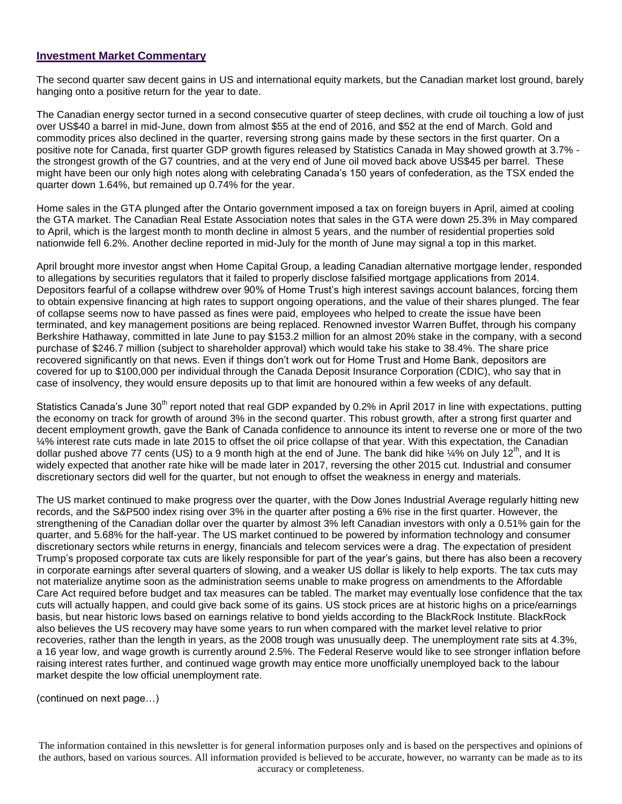#### **Investment Market Commentary**

The second quarter saw decent gains in US and international equity markets, but the Canadian market lost ground, barely hanging onto a positive return for the year to date.

The Canadian energy sector turned in a second consecutive quarter of steep declines, with crude oil touching a low of just over US\$40 a barrel in mid-June, down from almost \$55 at the end of 2016, and \$52 at the end of March. Gold and commodity prices also declined in the quarter, reversing strong gains made by these sectors in the first quarter. On a positive note for Canada, first quarter GDP growth figures released by Statistics Canada in May showed growth at 3.7% the strongest growth of the G7 countries, and at the very end of June oil moved back above US\$45 per barrel. These might have been our only high notes along with celebrating Canada's 150 years of confederation, as the TSX ended the quarter down 1.64%, but remained up 0.74% for the year.

Home sales in the GTA plunged after the Ontario government imposed a tax on foreign buyers in April, aimed at cooling the GTA market. The Canadian Real Estate Association notes that sales in the GTA were down 25.3% in May compared to April, which is the largest month to month decline in almost 5 years, and the number of residential properties sold nationwide fell 6.2%. Another decline reported in mid-July for the month of June may signal a top in this market.

April brought more investor angst when Home Capital Group, a leading Canadian alternative mortgage lender, responded to allegations by securities regulators that it failed to properly disclose falsified mortgage applications from 2014. Depositors fearful of a collapse withdrew over 90% of Home Trust's high interest savings account balances, forcing them to obtain expensive financing at high rates to support ongoing operations, and the value of their shares plunged. The fear of collapse seems now to have passed as fines were paid, employees who helped to create the issue have been terminated, and key management positions are being replaced. Renowned investor Warren Buffet, through his company Berkshire Hathaway, committed in late June to pay \$153.2 million for an almost 20% stake in the company, with a second purchase of \$246.7 million (subject to shareholder approval) which would take his stake to 38.4%. The share price recovered significantly on that news. Even if things don't work out for Home Trust and Home Bank, depositors are covered for up to \$100,000 per individual through the Canada Deposit Insurance Corporation (CDIC), who say that in case of insolvency, they would ensure deposits up to that limit are honoured within a few weeks of any default.

Statistics Canada's June 30<sup>th</sup> report noted that real GDP expanded by 0.2% in April 2017 in line with expectations, putting the economy on track for growth of around 3% in the second quarter. This robust growth, after a strong first quarter and decent employment growth, gave the Bank of Canada confidence to announce its intent to reverse one or more of the two ¼% interest rate cuts made in late 2015 to offset the oil price collapse of that year. With this expectation, the Canadian dollar pushed above 77 cents (US) to a 9 month high at the end of June. The bank did hike  $\frac{1}{4}$  on July 12<sup>th</sup>, and It is widely expected that another rate hike will be made later in 2017, reversing the other 2015 cut. Industrial and consumer discretionary sectors did well for the quarter, but not enough to offset the weakness in energy and materials.

The US market continued to make progress over the quarter, with the Dow Jones Industrial Average regularly hitting new records, and the S&P500 index rising over 3% in the quarter after posting a 6% rise in the first quarter. However, the strengthening of the Canadian dollar over the quarter by almost 3% left Canadian investors with only a 0.51% gain for the quarter, and 5.68% for the half-year. The US market continued to be powered by information technology and consumer discretionary sectors while returns in energy, financials and telecom services were a drag. The expectation of president Trump's proposed corporate tax cuts are likely responsible for part of the year's gains, but there has also been a recovery in corporate earnings after several quarters of slowing, and a weaker US dollar is likely to help exports. The tax cuts may not materialize anytime soon as the administration seems unable to make progress on amendments to the Affordable Care Act required before budget and tax measures can be tabled. The market may eventually lose confidence that the tax cuts will actually happen, and could give back some of its gains. US stock prices are at historic highs on a price/earnings basis, but near historic lows based on earnings relative to bond yields according to the BlackRock Institute. BlackRock also believes the US recovery may have some years to run when compared with the market level relative to prior recoveries, rather than the length in years, as the 2008 trough was unusually deep. The unemployment rate sits at 4.3%, a 16 year low, and wage growth is currently around 2.5%. The Federal Reserve would like to see stronger inflation before raising interest rates further, and continued wage growth may entice more unofficially unemployed back to the labour market despite the low official unemployment rate.

(continued on next page…)

The information contained in this newsletter is for general information purposes only and is based on the perspectives and opinions of the authors, based on various sources. All information provided is believed to be accurate, however, no warranty can be made as to its accuracy or completeness.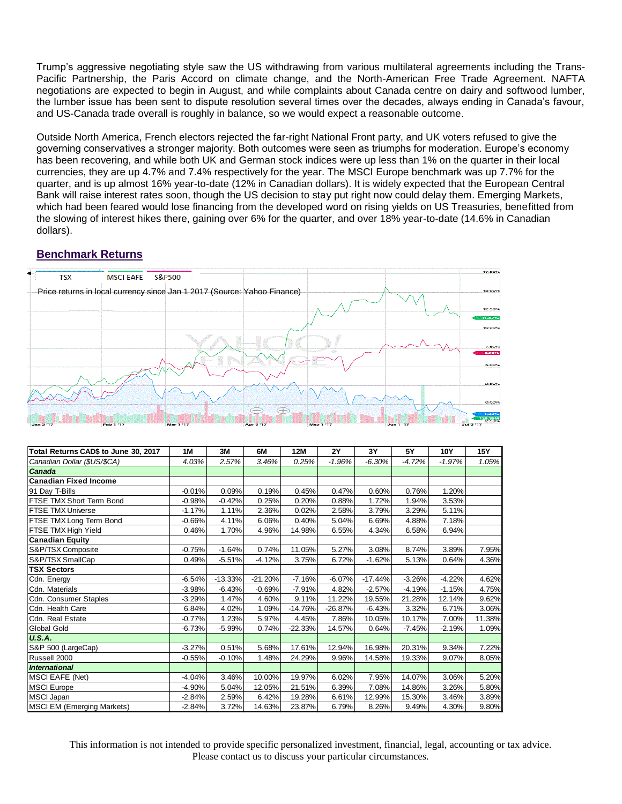Trump's aggressive negotiating style saw the US withdrawing from various multilateral agreements including the Trans-Pacific Partnership, the Paris Accord on climate change, and the North-American Free Trade Agreement. NAFTA negotiations are expected to begin in August, and while complaints about Canada centre on dairy and softwood lumber, the lumber issue has been sent to dispute resolution several times over the decades, always ending in Canada's favour, and US-Canada trade overall is roughly in balance, so we would expect a reasonable outcome.

Outside North America, French electors rejected the far-right National Front party, and UK voters refused to give the governing conservatives a stronger majority. Both outcomes were seen as triumphs for moderation. Europe's economy has been recovering, and while both UK and German stock indices were up less than 1% on the quarter in their local currencies, they are up 4.7% and 7.4% respectively for the year. The MSCI Europe benchmark was up 7.7% for the quarter, and is up almost 16% year-to-date (12% in Canadian dollars). It is widely expected that the European Central Bank will raise interest rates soon, though the US decision to stay put right now could delay them. Emerging Markets, which had been feared would lose financing from the developed word on rising yields on US Treasuries, benefitted from the slowing of interest hikes there, gaining over 6% for the quarter, and over 18% year-to-date (14.6% in Canadian dollars).

## **Benchmark Returns**



| Total Returns CAD\$ to June 30, 2017 | 1M       | 3M        | 6M        | 12M       | <b>2Y</b> | 3Y        | 5Y       | 10Y      | 15Y    |
|--------------------------------------|----------|-----------|-----------|-----------|-----------|-----------|----------|----------|--------|
| Canadian Dollar (\$US/\$CA)          | 4.03%    | 2.57%     | 3.46%     | 0.25%     | $-1.96%$  | $-6.30%$  | $-4.72%$ | $-1.97%$ | 1.05%  |
| Canada                               |          |           |           |           |           |           |          |          |        |
| <b>Canadian Fixed Income</b>         |          |           |           |           |           |           |          |          |        |
| 91 Day T-Bills                       | $-0.01%$ | 0.09%     | 0.19%     | 0.45%     | 0.47%     | 0.60%     | 0.76%    | 1.20%    |        |
| FTSE TMX Short Term Bond             | $-0.98%$ | $-0.42%$  | 0.25%     | 0.20%     | 0.88%     | 1.72%     | 1.94%    | 3.53%    |        |
| <b>FTSE TMX Universe</b>             | $-1.17%$ | 1.11%     | 2.36%     | 0.02%     | 2.58%     | 3.79%     | 3.29%    | 5.11%    |        |
| FTSE TMX Long Term Bond              | $-0.66%$ | 4.11%     | 6.06%     | 0.40%     | 5.04%     | 6.69%     | 4.88%    | 7.18%    |        |
| FTSE TMX High Yield                  | 0.46%    | 1.70%     | 4.96%     | 14.98%    | 6.55%     | 4.34%     | 6.58%    | 6.94%    |        |
| <b>Canadian Equity</b>               |          |           |           |           |           |           |          |          |        |
| S&P/TSX Composite                    | $-0.75%$ | $-1.64%$  | 0.74%     | 11.05%    | 5.27%     | 3.08%     | 8.74%    | 3.89%    | 7.95%  |
| S&P/TSX SmallCap                     | 0.49%    | $-5.51%$  | $-4.12%$  | 3.75%     | 6.72%     | $-1.62%$  | 5.13%    | 0.64%    | 4.36%  |
| <b>TSX Sectors</b>                   |          |           |           |           |           |           |          |          |        |
| Cdn. Energy                          | $-6.54%$ | $-13.33%$ | $-21.20%$ | $-7.16%$  | $-6.07%$  | $-17.44%$ | $-3.26%$ | $-4.22%$ | 4.62%  |
| Cdn. Materials                       | $-3.98%$ | $-6.43%$  | $-0.69%$  | $-7.91%$  | 4.82%     | $-2.57%$  | $-4.19%$ | $-1.15%$ | 4.75%  |
| Cdn. Consumer Staples                | $-3.29%$ | 1.47%     | 4.60%     | 9.11%     | 11.22%    | 19.55%    | 21.28%   | 12.14%   | 9.62%  |
| Cdn. Health Care                     | 6.84%    | 4.02%     | 1.09%     | $-14.76%$ | $-26.87%$ | $-6.43%$  | 3.32%    | 6.71%    | 3.06%  |
| Cdn. Real Estate                     | $-0.77%$ | 1.23%     | 5.97%     | 4.45%     | 7.86%     | 10.05%    | 10.17%   | 7.00%    | 11.38% |
| Global Gold                          | $-6.73%$ | $-5.99%$  | 0.74%     | $-22.33%$ | 14.57%    | 0.64%     | $-7.45%$ | $-2.19%$ | 1.09%  |
| <b>U.S.A.</b>                        |          |           |           |           |           |           |          |          |        |
| S&P 500 (LargeCap)                   | $-3.27%$ | 0.51%     | 5.68%     | 17.61%    | 12.94%    | 16.98%    | 20.31%   | 9.34%    | 7.22%  |
| Russell 2000                         | $-0.55%$ | $-0.10%$  | 1.48%     | 24.29%    | 9.96%     | 14.58%    | 19.33%   | 9.07%    | 8.05%  |
| <b>International</b>                 |          |           |           |           |           |           |          |          |        |
| <b>MSCI EAFE (Net)</b>               | $-4.04%$ | 3.46%     | 10.00%    | 19.97%    | 6.02%     | 7.95%     | 14.07%   | 3.06%    | 5.20%  |
| <b>MSCI Europe</b>                   | $-4.90%$ | 5.04%     | 12.05%    | 21.51%    | 6.39%     | 7.08%     | 14.86%   | 3.26%    | 5.80%  |
| MSCI Japan                           | $-2.84%$ | 2.59%     | 6.42%     | 19.28%    | 6.61%     | 12.99%    | 15.30%   | 3.46%    | 3.89%  |
| <b>MSCI EM (Emerging Markets)</b>    | $-2.84%$ | 3.72%     | 14.63%    | 23.87%    | 6.79%     | 8.26%     | 9.49%    | 4.30%    | 9.80%  |

This information is not intended to provide specific personalized investment, financial, legal, accounting or tax advice. Please contact us to discuss your particular circumstances.